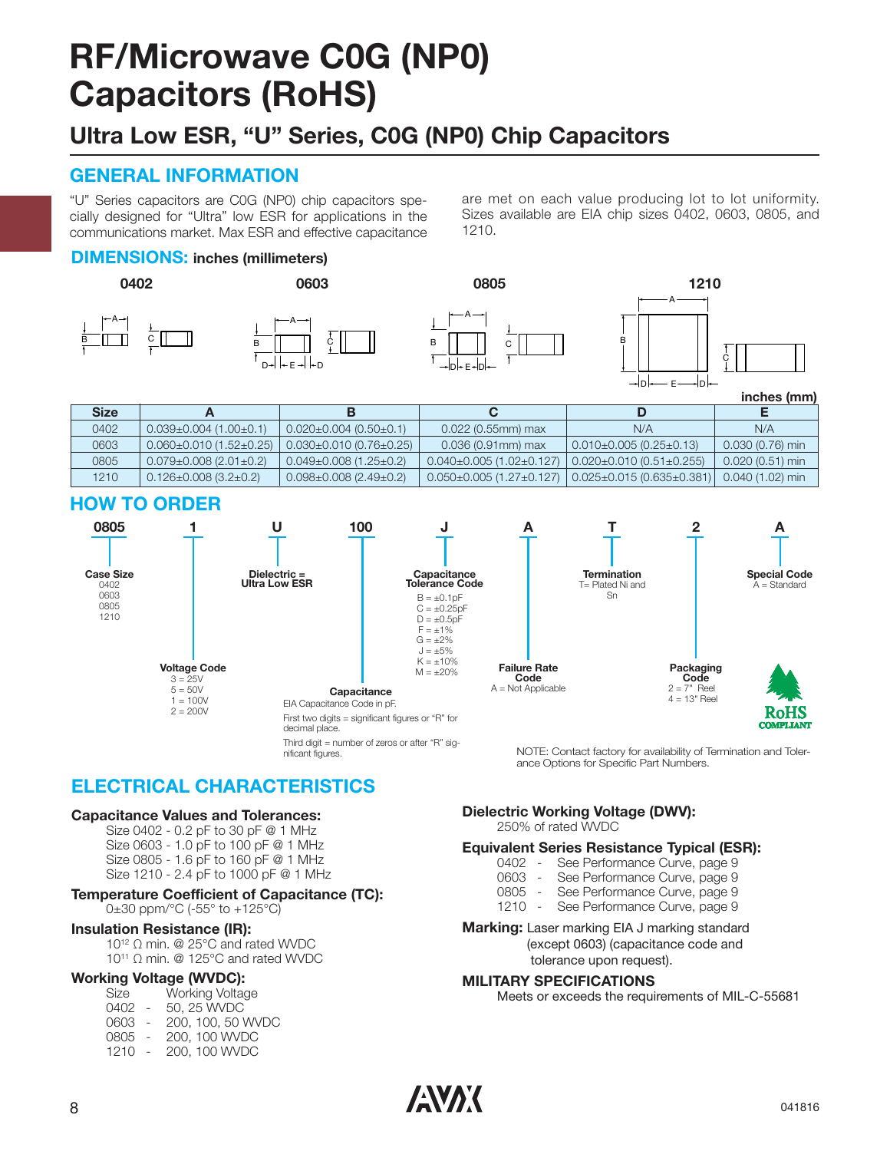## **RF/Microwave C0G (NP0) Capacitors (RoHS)**

## **Ultra Low ESR, "U" Series, C0G (NP0) Chip Capacitors**

### **GENERAL INFORMATION**

"U" Series capacitors are C0G (NP0) chip capacitors spe cially designed for "Ultra" low ESR for applications in the communications market. Max ESR and effective capacitance are met on each value producing lot to lot uniformity. Sizes available are EIA chip sizes 0402, 0603, 0805, and 1210.

B

#### **DIMENSIONS: inches (millimeters)**





nificant figures.





**inches (mm)**

| <b>Size</b> |                                     |                                    |                                    |                                   |                   |
|-------------|-------------------------------------|------------------------------------|------------------------------------|-----------------------------------|-------------------|
| 0402        | $0.039\pm0.004$ (1.00 $\pm$ 0.1)    | $0.020 \pm 0.004$ (0.50 $\pm$ 0.1) | $0.022$ (0.55mm) max               | N/A                               | N/A               |
| 0603        | $0.060 \pm 0.010$ (1.52 $\pm$ 0.25) | $0.030\pm0.010(0.76\pm0.25)$       | $0.036(0.91$ mm) max               | l 0.010±0.005 (0.25±0.13)         | $0.030(0.76)$ min |
| 0805        | $0.079 \pm 0.008$ (2.01 $\pm$ 0.2)  | $0.049\pm0.008$ (1.25 $\pm$ 0.2)   | $0.040\pm0.005(1.02\pm0.127)$      | $0.020 \pm 0.010(0.51 \pm 0.255)$ | $0.020(0.51)$ min |
| 1210        | $0.126 \pm 0.008$ (3.2 $\pm$ 0.2)   | $0.098 \pm 0.008$ (2.49 $\pm$ 0.2) | $0.050\pm0.005$ (1.27 $\pm$ 0.127) | $\vert$ 0.025±0.015 (0.635±0.381) | $0.040(1.02)$ min |

#### **HOW TO ORDER**



NOTE: Contact factory for availability of Termination and Tolerance Options for Specific Part Numbers.

### **ELECTRICAL CHARACTERISTICS**

#### **Capacitance Values and Tolerances:**

Size 0402 - 0.2 pF to 30 pF @ 1 MHz Size 0603 - 1.0 pF to 100 pF @ 1 MHz Size 0805 - 1.6 pF to 160 pF @ 1 MHz Size 1210 - 2.4 pF to 1000 pF @ 1 MHz

#### **Temperature Coefficient of Capacitance (TC):**

0±30 ppm/°C (-55° to +125°C)

#### **Insulation Resistance (IR):**

10<sup>12</sup> Ω min. @ 25°C and rated WVDC 10<sup>11</sup> Ω min. @ 125°C and rated WVDC

#### **Working Voltage (WVDC):**

| Size | Working Voltage |
|------|-----------------|
| 0402 | 50, 25 WVDC     |

| 0603                    |  |                      | 200, 100, 50 WVDC |
|-------------------------|--|----------------------|-------------------|
| $\cap \cap \cap \Gamma$ |  | $0.00 \pm 0.0111170$ |                   |

0805 - 200, 100 WVDC 1210 - 200, 100 WVDC

**Dielectric Working Voltage (DWV):**

250% of rated WVDC

## **Equivalent Series Resistance Typical (ESR):**

- 0402 See Performance Curve, page 9<br>0603 See Performance Curve, page 9
- 0603 See Performance Curve, page 9<br>0805 See Performance Curve, page 9
- 0805 See Performance Curve, page 9<br>1210 See Performance Curve, page 9
	- See Performance Curve, page 9
- **Marking:** Laser marking EIA J marking standard (except 0603) (capacitance code and tolerance upon request).

#### **MILITARY SPECIFICATIONS**

Meets or exceeds the requirements of MIL-C-55681

 $\sqrt{N}$  041816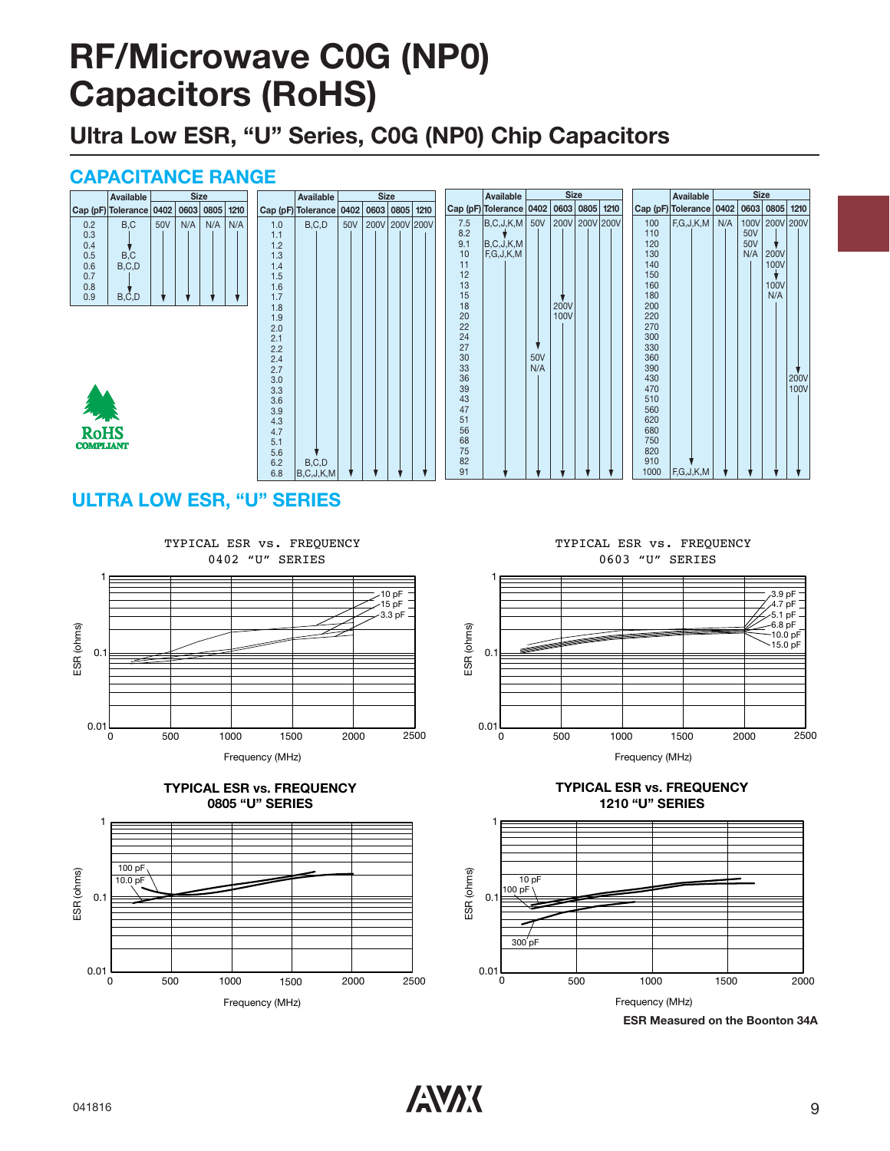## **RF/Microwave C0G (NP0) Capacitors (RoHS)**

**Ultra Low ESR, "U" Series, C0G (NP0) Chip Capacitors**

#### **CAPACITANCE RANGE**

## **ULTRA LOW ESR, "U" SERIES**



Frequency (MHz)





TYPICAL ESR vs. FREQUENCY 0603 "U" SERIES







**ESR Measured on the Boonton 34A**

 $\blacksquare$ 041816 9